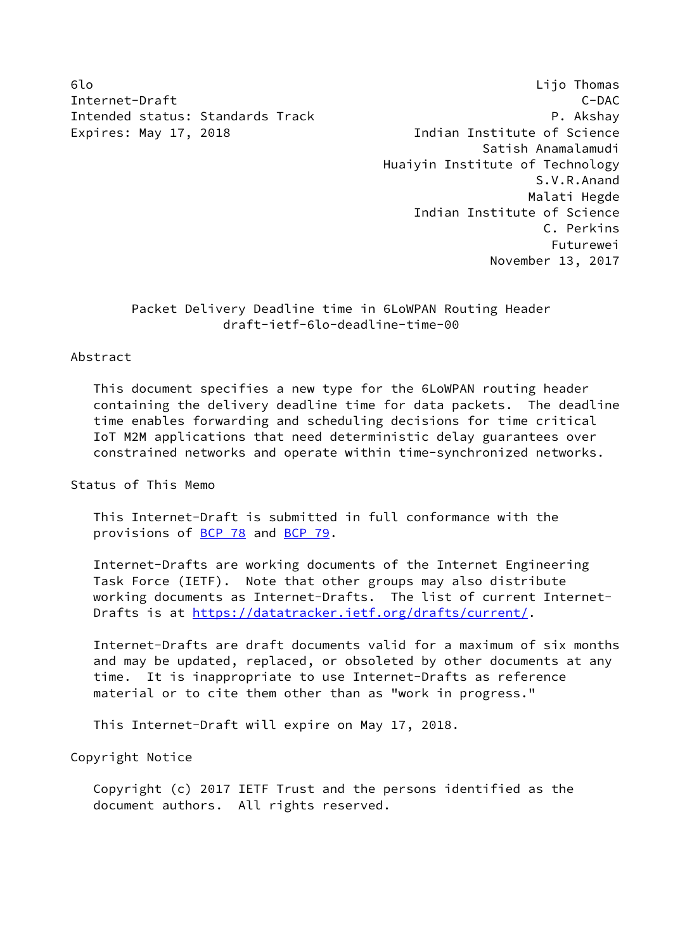Internet-Draft C-DAC Intended status: Standards Track P. Akshay Expires: May 17, 2018 **Indian Institute of Science** 

6lo Lijo Thomas Satish Anamalamudi Huaiyin Institute of Technology S.V.R.Anand Malati Hegde Indian Institute of Science C. Perkins Futurewei November 13, 2017

# Packet Delivery Deadline time in 6LoWPAN Routing Header draft-ietf-6lo-deadline-time-00

### Abstract

 This document specifies a new type for the 6LoWPAN routing header containing the delivery deadline time for data packets. The deadline time enables forwarding and scheduling decisions for time critical IoT M2M applications that need deterministic delay guarantees over constrained networks and operate within time-synchronized networks.

Status of This Memo

 This Internet-Draft is submitted in full conformance with the provisions of [BCP 78](https://datatracker.ietf.org/doc/pdf/bcp78) and [BCP 79](https://datatracker.ietf.org/doc/pdf/bcp79).

 Internet-Drafts are working documents of the Internet Engineering Task Force (IETF). Note that other groups may also distribute working documents as Internet-Drafts. The list of current Internet Drafts is at<https://datatracker.ietf.org/drafts/current/>.

 Internet-Drafts are draft documents valid for a maximum of six months and may be updated, replaced, or obsoleted by other documents at any time. It is inappropriate to use Internet-Drafts as reference material or to cite them other than as "work in progress."

This Internet-Draft will expire on May 17, 2018.

Copyright Notice

 Copyright (c) 2017 IETF Trust and the persons identified as the document authors. All rights reserved.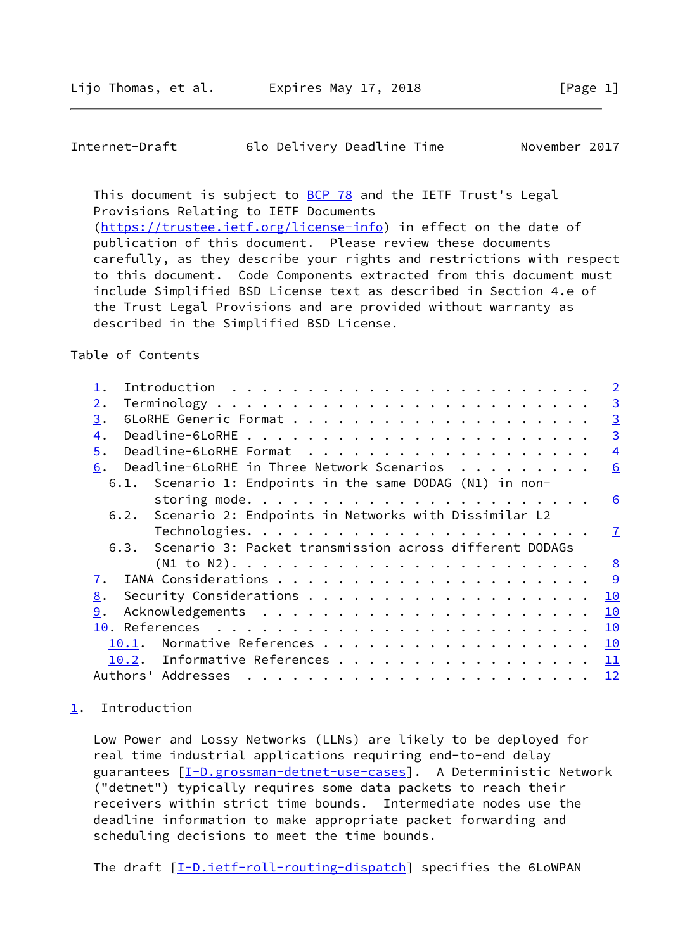#### <span id="page-1-1"></span>Internet-Draft 6lo Delivery Deadline Time November 2017

This document is subject to [BCP 78](https://datatracker.ietf.org/doc/pdf/bcp78) and the IETF Trust's Legal Provisions Relating to IETF Documents [\(https://trustee.ietf.org/license-info](https://trustee.ietf.org/license-info)) in effect on the date of publication of this document. Please review these documents carefully, as they describe your rights and restrictions with respect to this document. Code Components extracted from this document must include Simplified BSD License text as described in Section 4.e of the Trust Legal Provisions and are provided without warranty as

described in the Simplified BSD License.

### Table of Contents

| Introduction $\cdots \cdots \cdots \cdots$                      | $\overline{2}$ |
|-----------------------------------------------------------------|----------------|
| 2.                                                              | $\overline{3}$ |
| 3.                                                              | $\overline{3}$ |
| $\overline{4}$ .                                                | $\overline{3}$ |
| 5.                                                              | $\overline{4}$ |
| Deadline-6LoRHE in Three Network Scenarios<br>6.                | 6              |
| 6.1. Scenario 1: Endpoints in the same DODAG (N1) in non-       |                |
|                                                                 | <u>6</u>       |
| 6.2. Scenario 2: Endpoints in Networks with Dissimilar L2       |                |
|                                                                 | $\mathbf{I}$   |
| Scenario 3: Packet transmission across different DODAGs<br>6.3. |                |
|                                                                 | 8              |
| 7.                                                              | 9              |
| 8.                                                              | 10             |
| 9.                                                              | 10             |
|                                                                 | 10             |
| Normative References<br>10.1.                                   | 10             |
| 10.2. Informative References                                    | 11             |
| Authors' Addresses                                              | 12             |
|                                                                 |                |

## <span id="page-1-0"></span>[1](#page-1-0). Introduction

 Low Power and Lossy Networks (LLNs) are likely to be deployed for real time industrial applications requiring end-to-end delay guarantees [[I-D.grossman-detnet-use-cases\]](#page-12-1). A Deterministic Network ("detnet") typically requires some data packets to reach their receivers within strict time bounds. Intermediate nodes use the deadline information to make appropriate packet forwarding and scheduling decisions to meet the time bounds.

The draft [[I-D.ietf-roll-routing-dispatch](#page-10-5)] specifies the 6LoWPAN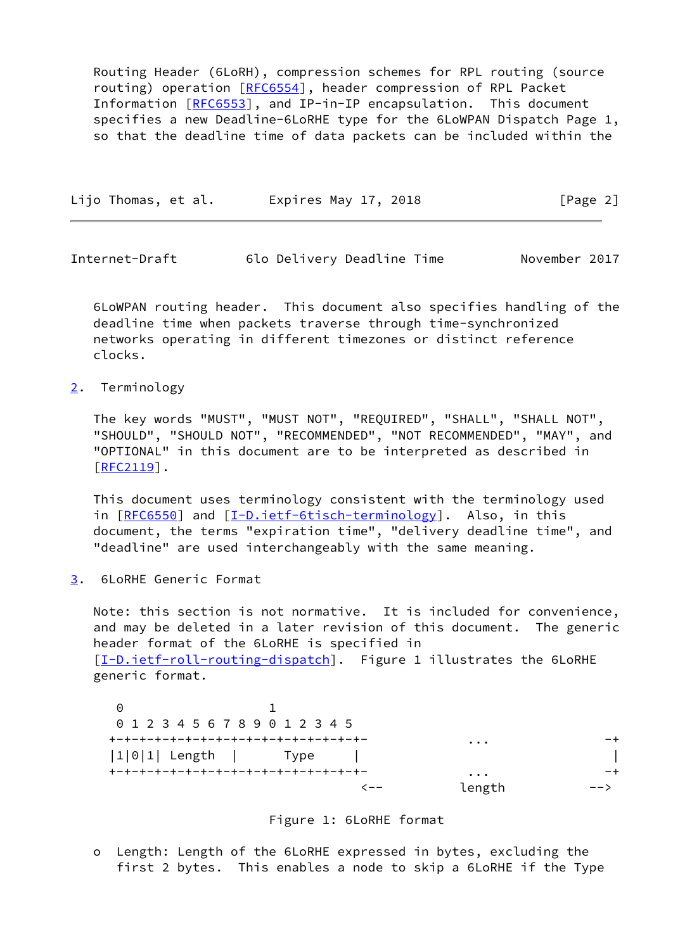Routing Header (6LoRH), compression schemes for RPL routing (source routing) operation [[RFC6554\]](https://datatracker.ietf.org/doc/pdf/rfc6554), header compression of RPL Packet Information [\[RFC6553](https://datatracker.ietf.org/doc/pdf/rfc6553)], and IP-in-IP encapsulation. This document specifies a new Deadline-6LoRHE type for the 6LoWPAN Dispatch Page 1, so that the deadline time of data packets can be included within the

| Lijo Thomas, et al. | Expires May 17, 2018 | [Page 2] |
|---------------------|----------------------|----------|
|---------------------|----------------------|----------|

<span id="page-2-1"></span>Internet-Draft 6lo Delivery Deadline Time November 2017

 6LoWPAN routing header. This document also specifies handling of the deadline time when packets traverse through time-synchronized networks operating in different timezones or distinct reference clocks.

<span id="page-2-0"></span>[2](#page-2-0). Terminology

 The key words "MUST", "MUST NOT", "REQUIRED", "SHALL", "SHALL NOT", "SHOULD", "SHOULD NOT", "RECOMMENDED", "NOT RECOMMENDED", "MAY", and "OPTIONAL" in this document are to be interpreted as described in [\[RFC2119](https://datatracker.ietf.org/doc/pdf/rfc2119)].

 This document uses terminology consistent with the terminology used in [[RFC6550\]](https://datatracker.ietf.org/doc/pdf/rfc6550) and [\[I-D.ietf-6tisch-terminology](#page-10-6)]. Also, in this document, the terms "expiration time", "delivery deadline time", and "deadline" are used interchangeably with the same meaning.

<span id="page-2-2"></span>[3](#page-2-2). 6LoRHE Generic Format

 Note: this section is not normative. It is included for convenience, and may be deleted in a later revision of this document. The generic header format of the 6LoRHE is specified in [\[I-D.ietf-roll-routing-dispatch](#page-10-5)]. Figure 1 illustrates the 6LoRHE generic format.

| 0 1 2 3 4 5 6 7 8 9 0 1 2 3 4 5      |      |          |  |
|--------------------------------------|------|----------|--|
| +-+-+-+-+-+-+-+-+-+-+-+-+-+-+-+-+-+- |      | $\cdots$ |  |
| $ 1 0 1 $ Length                     | Type |          |  |
| +-+-+-+-+-+-+-+-+-+-+-+-+-+-+-+-+-+- |      | $\cdots$ |  |
|                                      |      | length   |  |

Figure 1: 6LoRHE format

 o Length: Length of the 6LoRHE expressed in bytes, excluding the first 2 bytes. This enables a node to skip a 6LoRHE if the Type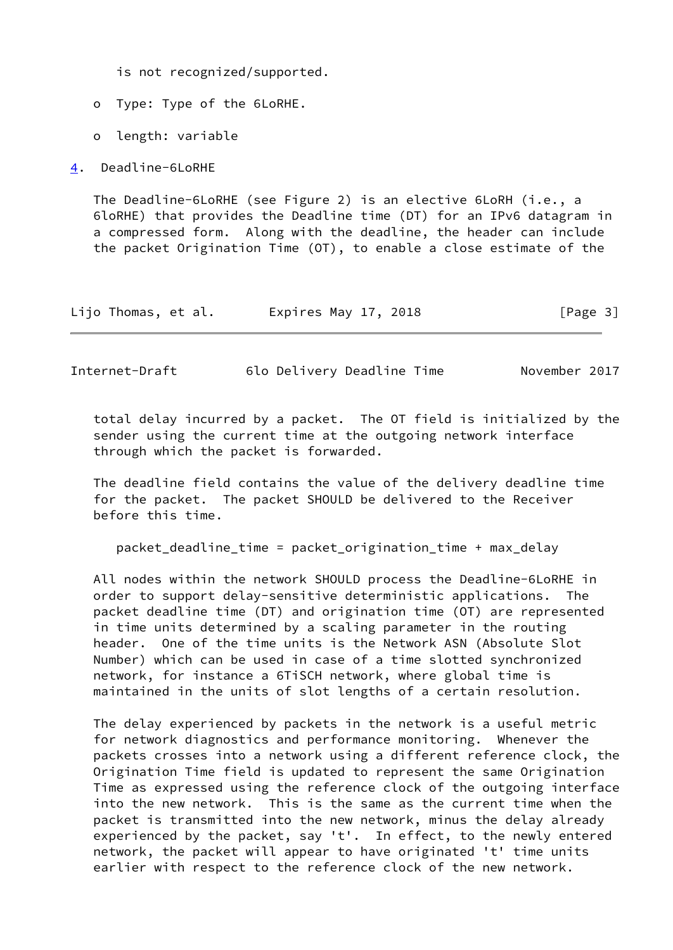is not recognized/supported.

- o Type: Type of the 6LoRHE.
- o length: variable

<span id="page-3-0"></span>[4](#page-3-0). Deadline-6LoRHE

 The Deadline-6LoRHE (see Figure 2) is an elective 6LoRH (i.e., a 6loRHE) that provides the Deadline time (DT) for an IPv6 datagram in a compressed form. Along with the deadline, the header can include the packet Origination Time (OT), to enable a close estimate of the

| Lijo Thomas, et al. | Expires May 17, 2018 | [Page 3] |
|---------------------|----------------------|----------|
|---------------------|----------------------|----------|

<span id="page-3-1"></span>

|  | Internet-Draft | 6lo Delivery Deadline Time | November 2017 |
|--|----------------|----------------------------|---------------|
|--|----------------|----------------------------|---------------|

 total delay incurred by a packet. The OT field is initialized by the sender using the current time at the outgoing network interface through which the packet is forwarded.

 The deadline field contains the value of the delivery deadline time for the packet. The packet SHOULD be delivered to the Receiver before this time.

packet\_deadline\_time = packet\_origination\_time + max\_delay

 All nodes within the network SHOULD process the Deadline-6LoRHE in order to support delay-sensitive deterministic applications. packet deadline time (DT) and origination time (OT) are represented in time units determined by a scaling parameter in the routing header. One of the time units is the Network ASN (Absolute Slot Number) which can be used in case of a time slotted synchronized network, for instance a 6TiSCH network, where global time is maintained in the units of slot lengths of a certain resolution.

 The delay experienced by packets in the network is a useful metric for network diagnostics and performance monitoring. Whenever the packets crosses into a network using a different reference clock, the Origination Time field is updated to represent the same Origination Time as expressed using the reference clock of the outgoing interface into the new network. This is the same as the current time when the packet is transmitted into the new network, minus the delay already experienced by the packet, say 't'. In effect, to the newly entered network, the packet will appear to have originated 't' time units earlier with respect to the reference clock of the new network.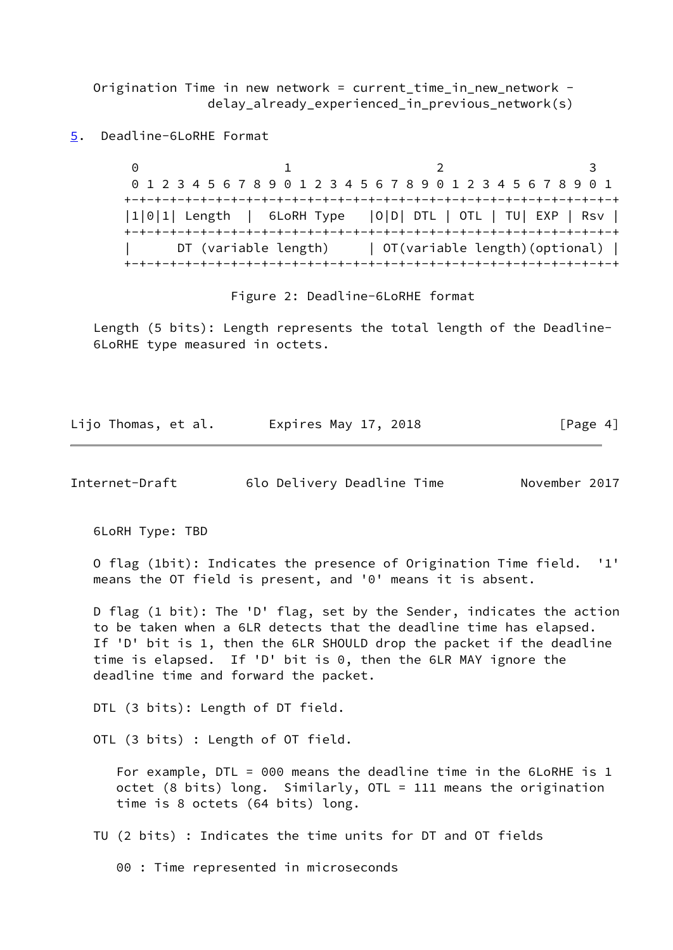Origination Time in new network = current\_time\_in\_new\_network delay already experienced in previous network(s)

<span id="page-4-0"></span>[5](#page-4-0). Deadline-6LoRHE Format

 $0$  1 2 3 0 1 2 3 4 5 6 7 8 9 0 1 2 3 4 5 6 7 8 9 0 1 2 3 4 5 6 7 8 9 0 1 +-+-+-+-+-+-+-+-+-+-+-+-+-+-+-+-+-+-+-+-+-+-+-+-+-+-+-+-+-+-+-+-+ |1|0|1| Length | 6LoRH Type |O|D| DTL | OTL | TU| EXP | Rsv | +-+-+-+-+-+-+-+-+-+-+-+-+-+-+-+-+-+-+-+-+-+-+-+-+-+-+-+-+-+-+-+-+ | DT (variable length) | OT(variable length)(optional) | +-+-+-+-+-+-+-+-+-+-+-+-+-+-+-+-+-+-+-+-+-+-+-+-+-+-+-+-+-+-+-+-+

Figure 2: Deadline-6LoRHE format

 Length (5 bits): Length represents the total length of the Deadline- 6LoRHE type measured in octets.

Lijo Thomas, et al. Expires May 17, 2018 [Page 4]

Internet-Draft 6lo Delivery Deadline Time November 2017

6LoRH Type: TBD

 O flag (1bit): Indicates the presence of Origination Time field. '1' means the OT field is present, and '0' means it is absent.

 D flag (1 bit): The 'D' flag, set by the Sender, indicates the action to be taken when a 6LR detects that the deadline time has elapsed. If 'D' bit is 1, then the 6LR SHOULD drop the packet if the deadline time is elapsed. If 'D' bit is 0, then the 6LR MAY ignore the deadline time and forward the packet.

DTL (3 bits): Length of DT field.

OTL (3 bits) : Length of OT field.

 For example, DTL = 000 means the deadline time in the 6LoRHE is 1 octet (8 bits) long. Similarly, OTL = 111 means the origination time is 8 octets (64 bits) long.

TU (2 bits) : Indicates the time units for DT and OT fields

00 : Time represented in microseconds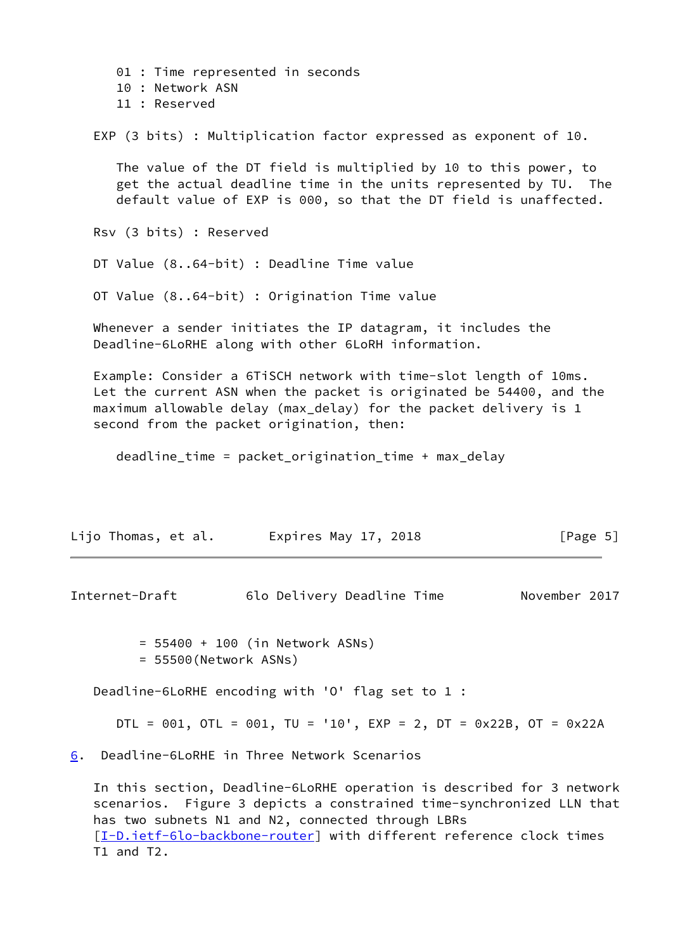01 : Time represented in seconds 10 : Network ASN 11 : Reserved EXP (3 bits) : Multiplication factor expressed as exponent of 10. The value of the DT field is multiplied by 10 to this power, to get the actual deadline time in the units represented by TU. The default value of EXP is 000, so that the DT field is unaffected. Rsv (3 bits) : Reserved DT Value (8..64-bit) : Deadline Time value OT Value (8..64-bit) : Origination Time value Whenever a sender initiates the IP datagram, it includes the Deadline-6LoRHE along with other 6LoRH information. Example: Consider a 6TiSCH network with time-slot length of 10ms. Let the current ASN when the packet is originated be 54400, and the maximum allowable delay (max\_delay) for the packet delivery is 1 second from the packet origination, then: deadline\_time = packet\_origination\_time + max\_delay Lijo Thomas, et al. Expires May 17, 2018 [Page 5] Internet-Draft 6lo Delivery Deadline Time November 2017 = 55400 + 100 (in Network ASNs) = 55500(Network ASNs) Deadline-6LoRHE encoding with 'O' flag set to 1 : DTL = 001, OTL = 001, TU = '10', EXP = 2, DT = 0x22B, OT = 0x22A

<span id="page-5-1"></span><span id="page-5-0"></span>[6](#page-5-0). Deadline-6LoRHE in Three Network Scenarios

 In this section, Deadline-6LoRHE operation is described for 3 network scenarios. Figure 3 depicts a constrained time-synchronized LLN that has two subnets N1 and N2, connected through LBRs [\[I-D.ietf-6lo-backbone-router](#page-12-2)] with different reference clock times T1 and T2.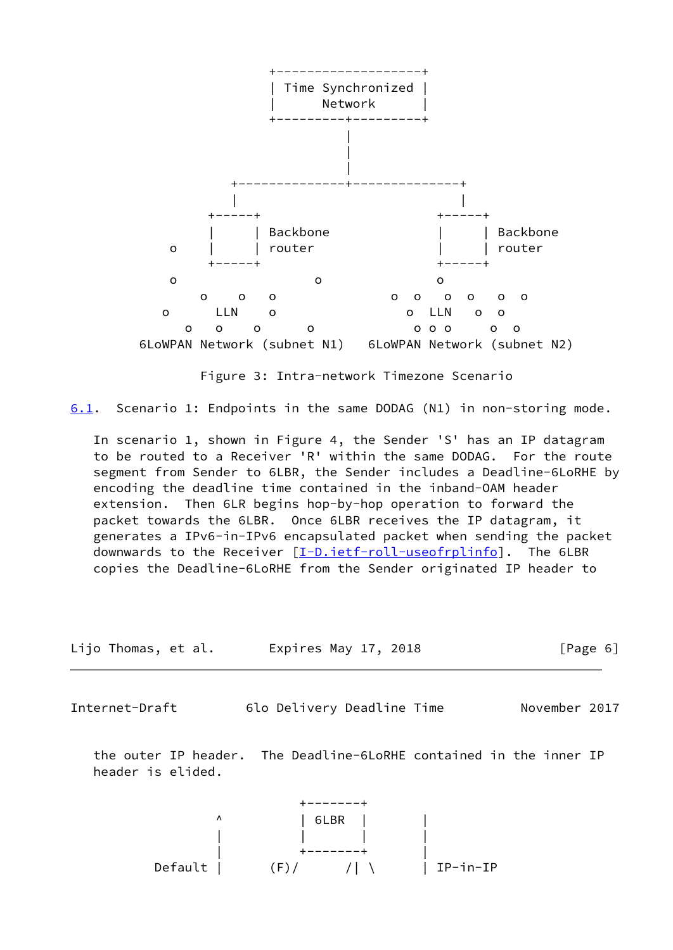

Figure 3: Intra-network Timezone Scenario

<span id="page-6-1"></span>[6.1](#page-6-1). Scenario 1: Endpoints in the same DODAG (N1) in non-storing mode.

 In scenario 1, shown in Figure 4, the Sender 'S' has an IP datagram to be routed to a Receiver 'R' within the same DODAG. For the route segment from Sender to 6LBR, the Sender includes a Deadline-6LoRHE by encoding the deadline time contained in the inband-OAM header extension. Then 6LR begins hop-by-hop operation to forward the packet towards the 6LBR. Once 6LBR receives the IP datagram, it generates a IPv6-in-IPv6 encapsulated packet when sending the packet downwards to the Receiver [[I-D.ietf-roll-useofrplinfo\]](#page-12-3). The 6LBR copies the Deadline-6LoRHE from the Sender originated IP header to

<span id="page-6-0"></span>

| Lijo Thomas, et al. | Expires May 17, 2018                                               | [Page 6]      |
|---------------------|--------------------------------------------------------------------|---------------|
| Internet-Draft      | 6lo Delivery Deadline Time                                         | November 2017 |
| header is elided.   | the outer IP header. The Deadline-6LoRHE contained in the inner IP |               |
| ٨                   | $+ - - - - - - +$<br>6LBR                                          |               |

Default  $|$  (F)/ /| \ | IP-in-IP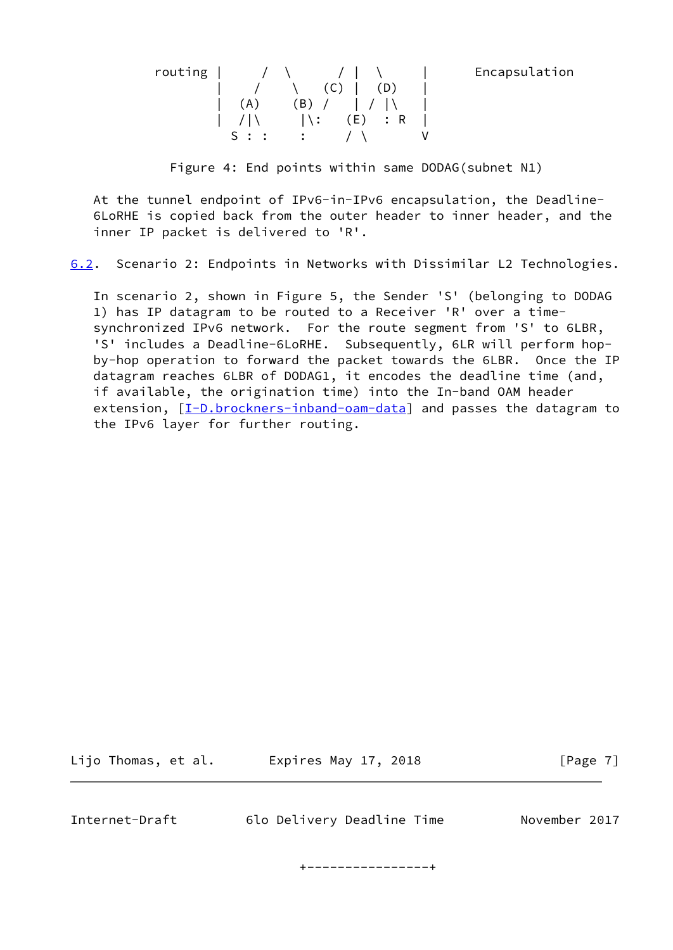Encapsulation

| routing $/ \ \ / \ \ / \ \ / \ \$ |                                                                                               |                       |  |
|-----------------------------------|-----------------------------------------------------------------------------------------------|-----------------------|--|
|                                   |                                                                                               | $/$ (C) $ $ (D)       |  |
|                                   | (A)                                                                                           | $(B) /   /   \rangle$ |  |
|                                   | $ \setminus$ :<br>$/ \wedge$                                                                  | $(E)$ : R             |  |
|                                   | S: :<br>$\mathcal{L}^{\text{max}}_{\text{max}}$ . The $\mathcal{L}^{\text{max}}_{\text{max}}$ | $\sqrt{2}$            |  |

Figure 4: End points within same DODAG(subnet N1)

 At the tunnel endpoint of IPv6-in-IPv6 encapsulation, the Deadline- 6LoRHE is copied back from the outer header to inner header, and the inner IP packet is delivered to 'R'.

<span id="page-7-1"></span>[6.2](#page-7-1). Scenario 2: Endpoints in Networks with Dissimilar L2 Technologies.

 In scenario 2, shown in Figure 5, the Sender 'S' (belonging to DODAG 1) has IP datagram to be routed to a Receiver 'R' over a time synchronized IPv6 network. For the route segment from 'S' to 6LBR, 'S' includes a Deadline-6LoRHE. Subsequently, 6LR will perform hop by-hop operation to forward the packet towards the 6LBR. Once the IP datagram reaches 6LBR of DODAG1, it encodes the deadline time (and, if available, the origination time) into the In-band OAM header extension,  $[I-D.brockners-inband-oam-data]$  $[I-D.brockners-inband-oam-data]$  and passes the datagram to the IPv6 layer for further routing.

Lijo Thomas, et al. Expires May 17, 2018 [Page 7]

<span id="page-7-0"></span>

Internet-Draft 6lo Delivery Deadline Time November 2017

+----------------+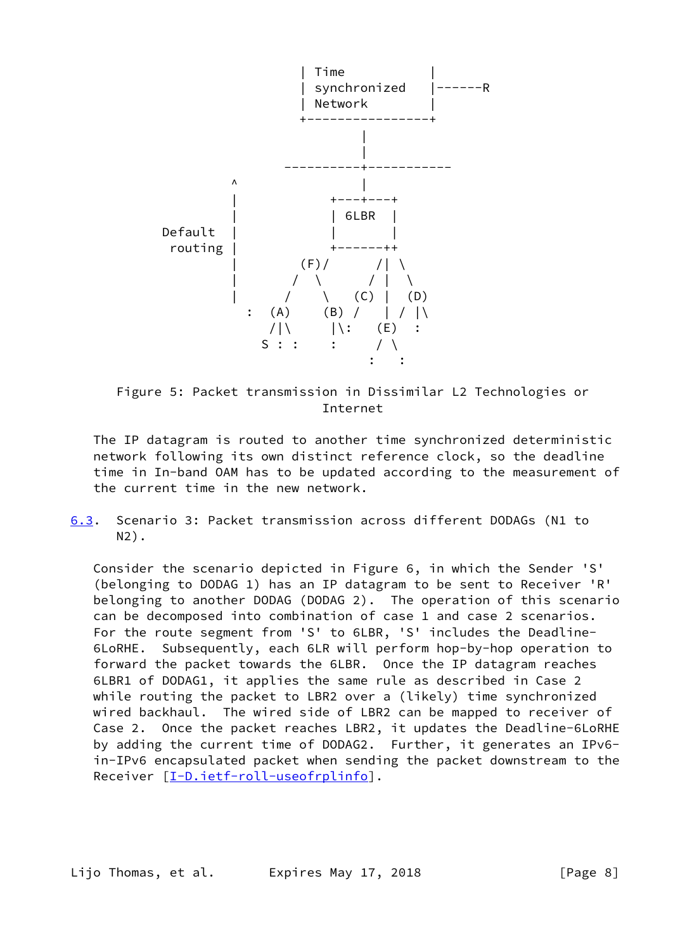



 The IP datagram is routed to another time synchronized deterministic network following its own distinct reference clock, so the deadline time in In-band OAM has to be updated according to the measurement of the current time in the new network.

<span id="page-8-0"></span>[6.3](#page-8-0). Scenario 3: Packet transmission across different DODAGs (N1 to N2).

 Consider the scenario depicted in Figure 6, in which the Sender 'S' (belonging to DODAG 1) has an IP datagram to be sent to Receiver 'R' belonging to another DODAG (DODAG 2). The operation of this scenario can be decomposed into combination of case 1 and case 2 scenarios. For the route segment from 'S' to 6LBR, 'S' includes the Deadline- 6LoRHE. Subsequently, each 6LR will perform hop-by-hop operation to forward the packet towards the 6LBR. Once the IP datagram reaches 6LBR1 of DODAG1, it applies the same rule as described in Case 2 while routing the packet to LBR2 over a (likely) time synchronized wired backhaul. The wired side of LBR2 can be mapped to receiver of Case 2. Once the packet reaches LBR2, it updates the Deadline-6LoRHE by adding the current time of DODAG2. Further, it generates an IPv6 in-IPv6 encapsulated packet when sending the packet downstream to the Receiver [\[I-D.ietf-roll-useofrplinfo\]](#page-12-3).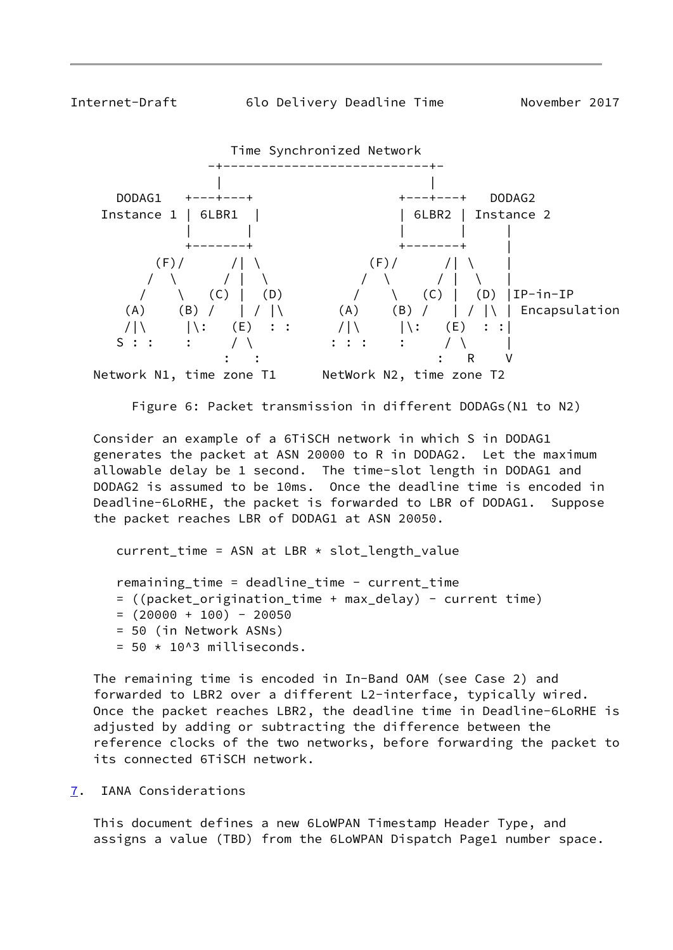<span id="page-9-1"></span>Internet-Draft 6lo Delivery Deadline Time November 2017



Figure 6: Packet transmission in different DODAGs(N1 to N2)

 Consider an example of a 6TiSCH network in which S in DODAG1 generates the packet at ASN 20000 to R in DODAG2. Let the maximum allowable delay be 1 second. The time-slot length in DODAG1 and DODAG2 is assumed to be 10ms. Once the deadline time is encoded in Deadline-6LoRHE, the packet is forwarded to LBR of DODAG1. Suppose the packet reaches LBR of DODAG1 at ASN 20050.

current\_time = ASN at LBR  $*$  slot\_length\_value remaining\_time = deadline\_time - current\_time = ((packet\_origination\_time + max\_delay) - current time)  $= (20000 + 100) - 20050$  = 50 (in Network ASNs)  $= 50 \times 10^{13}$  milliseconds.

 The remaining time is encoded in In-Band OAM (see Case 2) and forwarded to LBR2 over a different L2-interface, typically wired. Once the packet reaches LBR2, the deadline time in Deadline-6LoRHE is adjusted by adding or subtracting the difference between the reference clocks of the two networks, before forwarding the packet to its connected 6TiSCH network.

<span id="page-9-0"></span>[7](#page-9-0). IANA Considerations

 This document defines a new 6LoWPAN Timestamp Header Type, and assigns a value (TBD) from the 6LoWPAN Dispatch Page1 number space.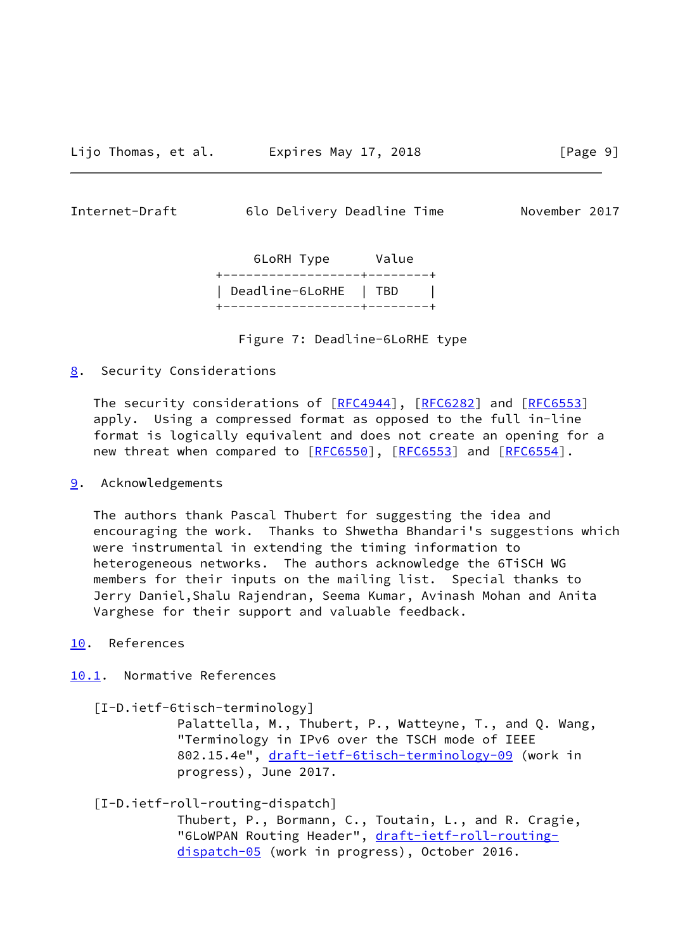<span id="page-10-1"></span>Internet-Draft 6lo Delivery Deadline Time November 2017

 6LoRH Type Value +------------------+--------+ | Deadline-6LoRHE | TBD | +------------------+--------+

Figure 7: Deadline-6LoRHE type

<span id="page-10-0"></span>[8](#page-10-0). Security Considerations

The security considerations of [\[RFC4944](https://datatracker.ietf.org/doc/pdf/rfc4944)], [[RFC6282](https://datatracker.ietf.org/doc/pdf/rfc6282)] and [\[RFC6553](https://datatracker.ietf.org/doc/pdf/rfc6553)] apply. Using a compressed format as opposed to the full in-line format is logically equivalent and does not create an opening for a new threat when compared to [\[RFC6550](https://datatracker.ietf.org/doc/pdf/rfc6550)], [\[RFC6553](https://datatracker.ietf.org/doc/pdf/rfc6553)] and [\[RFC6554](https://datatracker.ietf.org/doc/pdf/rfc6554)].

<span id="page-10-2"></span>[9](#page-10-2). Acknowledgements

 The authors thank Pascal Thubert for suggesting the idea and encouraging the work. Thanks to Shwetha Bhandari's suggestions which were instrumental in extending the timing information to heterogeneous networks. The authors acknowledge the 6TiSCH WG members for their inputs on the mailing list. Special thanks to Jerry Daniel,Shalu Rajendran, Seema Kumar, Avinash Mohan and Anita Varghese for their support and valuable feedback.

<span id="page-10-3"></span>[10.](#page-10-3) References

<span id="page-10-4"></span>[10.1](#page-10-4). Normative References

<span id="page-10-6"></span>[I-D.ietf-6tisch-terminology]

 Palattella, M., Thubert, P., Watteyne, T., and Q. Wang, "Terminology in IPv6 over the TSCH mode of IEEE 802.15.4e", [draft-ietf-6tisch-terminology-09](https://datatracker.ietf.org/doc/pdf/draft-ietf-6tisch-terminology-09) (work in progress), June 2017.

<span id="page-10-5"></span>[I-D.ietf-roll-routing-dispatch]

 Thubert, P., Bormann, C., Toutain, L., and R. Cragie, "6LoWPAN Routing Header", [draft-ietf-roll-routing](https://datatracker.ietf.org/doc/pdf/draft-ietf-roll-routing-dispatch-05) [dispatch-05](https://datatracker.ietf.org/doc/pdf/draft-ietf-roll-routing-dispatch-05) (work in progress), October 2016.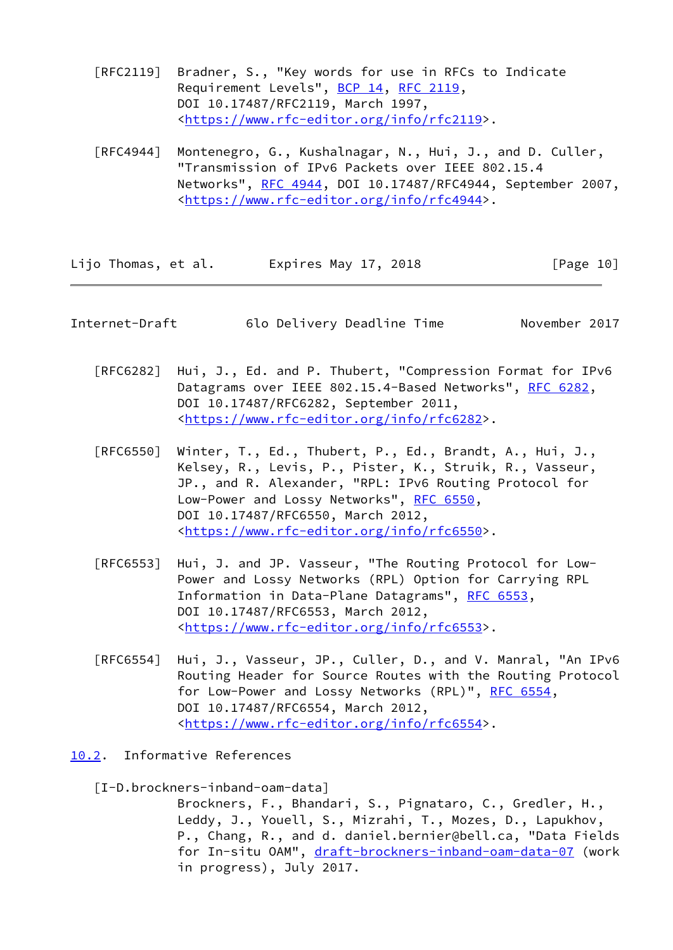- [RFC2119] Bradner, S., "Key words for use in RFCs to Indicate Requirement Levels", [BCP 14](https://datatracker.ietf.org/doc/pdf/bcp14), [RFC 2119](https://datatracker.ietf.org/doc/pdf/rfc2119), DOI 10.17487/RFC2119, March 1997, <[https://www.rfc-editor.org/info/rfc2119>](https://www.rfc-editor.org/info/rfc2119).
- [RFC4944] Montenegro, G., Kushalnagar, N., Hui, J., and D. Culler, "Transmission of IPv6 Packets over IEEE 802.15.4 Networks", [RFC 4944](https://datatracker.ietf.org/doc/pdf/rfc4944), DOI 10.17487/RFC4944, September 2007, <[https://www.rfc-editor.org/info/rfc4944>](https://www.rfc-editor.org/info/rfc4944).

| Lijo Thomas, et al. |  | Expires May 17, 2018 | [Page 10] |
|---------------------|--|----------------------|-----------|
|---------------------|--|----------------------|-----------|

- <span id="page-11-1"></span>Internet-Draft 6lo Delivery Deadline Time November 2017
	- [RFC6282] Hui, J., Ed. and P. Thubert, "Compression Format for IPv6 Datagrams over IEEE 802.15.4-Based Networks", [RFC 6282](https://datatracker.ietf.org/doc/pdf/rfc6282), DOI 10.17487/RFC6282, September 2011, <[https://www.rfc-editor.org/info/rfc6282>](https://www.rfc-editor.org/info/rfc6282).
	- [RFC6550] Winter, T., Ed., Thubert, P., Ed., Brandt, A., Hui, J., Kelsey, R., Levis, P., Pister, K., Struik, R., Vasseur, JP., and R. Alexander, "RPL: IPv6 Routing Protocol for Low-Power and Lossy Networks", [RFC 6550](https://datatracker.ietf.org/doc/pdf/rfc6550), DOI 10.17487/RFC6550, March 2012, <[https://www.rfc-editor.org/info/rfc6550>](https://www.rfc-editor.org/info/rfc6550).
	- [RFC6553] Hui, J. and JP. Vasseur, "The Routing Protocol for Low- Power and Lossy Networks (RPL) Option for Carrying RPL Information in Data-Plane Datagrams", [RFC 6553](https://datatracker.ietf.org/doc/pdf/rfc6553), DOI 10.17487/RFC6553, March 2012, <[https://www.rfc-editor.org/info/rfc6553>](https://www.rfc-editor.org/info/rfc6553).
	- [RFC6554] Hui, J., Vasseur, JP., Culler, D., and V. Manral, "An IPv6 Routing Header for Source Routes with the Routing Protocol for Low-Power and Lossy Networks (RPL)", [RFC 6554,](https://datatracker.ietf.org/doc/pdf/rfc6554) DOI 10.17487/RFC6554, March 2012, <[https://www.rfc-editor.org/info/rfc6554>](https://www.rfc-editor.org/info/rfc6554).
- <span id="page-11-2"></span><span id="page-11-0"></span>[10.2](#page-11-0). Informative References
	- [I-D.brockners-inband-oam-data]

 Brockners, F., Bhandari, S., Pignataro, C., Gredler, H., Leddy, J., Youell, S., Mizrahi, T., Mozes, D., Lapukhov, P., Chang, R., and d. daniel.bernier@bell.ca, "Data Fields for In-situ OAM", [draft-brockners-inband-oam-data-07](https://datatracker.ietf.org/doc/pdf/draft-brockners-inband-oam-data-07) (work in progress), July 2017.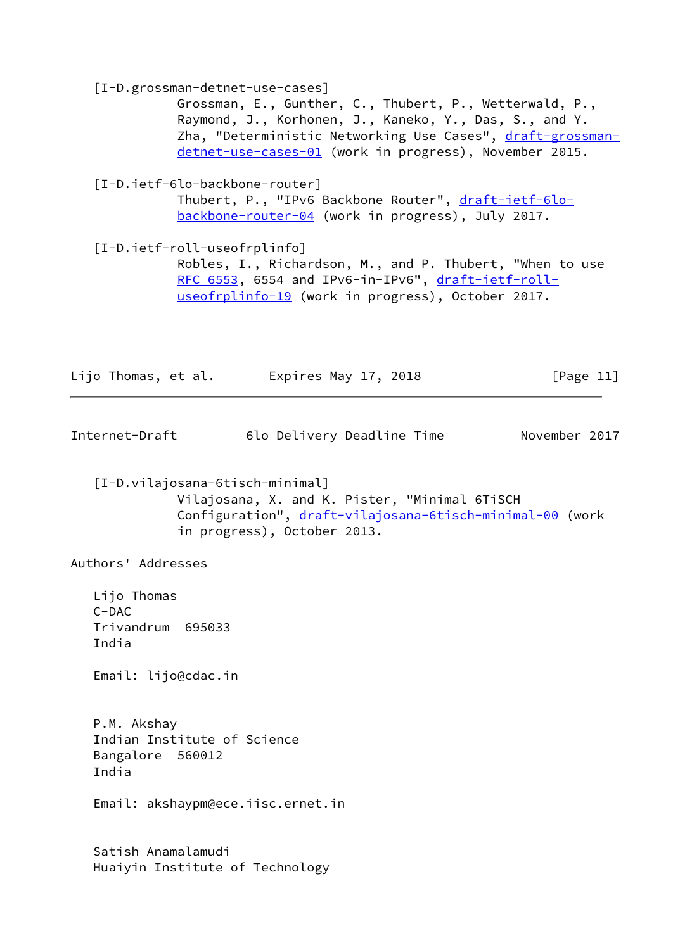<span id="page-12-3"></span><span id="page-12-2"></span><span id="page-12-1"></span><span id="page-12-0"></span> [I-D.grossman-detnet-use-cases] Grossman, E., Gunther, C., Thubert, P., Wetterwald, P., Raymond, J., Korhonen, J., Kaneko, Y., Das, S., and Y. Zha, "Deterministic Networking Use Cases", [draft-grossman](https://datatracker.ietf.org/doc/pdf/draft-grossman-detnet-use-cases-01) [detnet-use-cases-01](https://datatracker.ietf.org/doc/pdf/draft-grossman-detnet-use-cases-01) (work in progress), November 2015. [I-D.ietf-6lo-backbone-router] Thubert, P., "IPv6 Backbone Router", [draft-ietf-6lo](https://datatracker.ietf.org/doc/pdf/draft-ietf-6lo-backbone-router-04) [backbone-router-04](https://datatracker.ietf.org/doc/pdf/draft-ietf-6lo-backbone-router-04) (work in progress), July 2017. [I-D.ietf-roll-useofrplinfo] Robles, I., Richardson, M., and P. Thubert, "When to use [RFC 6553,](https://datatracker.ietf.org/doc/pdf/rfc6553) 6554 and IPv6-in-IPv6", [draft-ietf-roll](https://datatracker.ietf.org/doc/pdf/draft-ietf-roll-useofrplinfo-19) [useofrplinfo-19](https://datatracker.ietf.org/doc/pdf/draft-ietf-roll-useofrplinfo-19) (work in progress), October 2017. Lijo Thomas, et al. Expires May 17, 2018 [Page 11] Internet-Draft 6lo Delivery Deadline Time November 2017 [I-D.vilajosana-6tisch-minimal] Vilajosana, X. and K. Pister, "Minimal 6TiSCH Configuration", [draft-vilajosana-6tisch-minimal-00](https://datatracker.ietf.org/doc/pdf/draft-vilajosana-6tisch-minimal-00) (work in progress), October 2013. Authors' Addresses Lijo Thomas  $C-DAC$  Trivandrum 695033 India Email: lijo@cdac.in P.M. Akshay Indian Institute of Science Bangalore 560012 India Email: akshaypm@ece.iisc.ernet.in Satish Anamalamudi Huaiyin Institute of Technology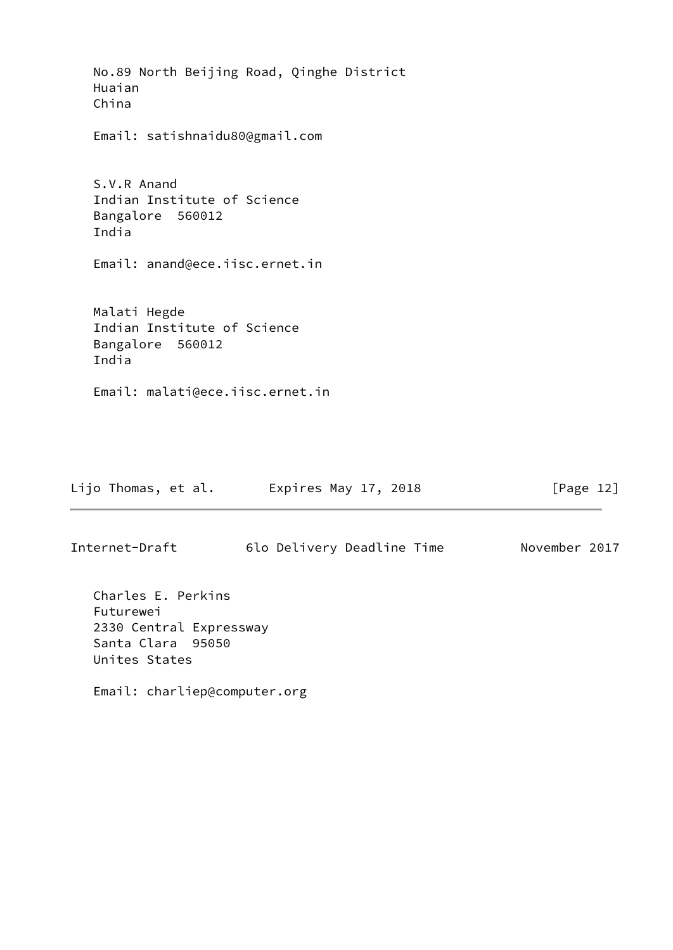No.89 North Beijing Road, Qinghe District Huaian China Email: satishnaidu80@gmail.com S.V.R Anand Indian Institute of Science Bangalore 560012 India Email: anand@ece.iisc.ernet.in Malati Hegde Indian Institute of Science Bangalore 560012 India Email: malati@ece.iisc.ernet.in

| Lijo Thomas, et al. |  | Expires May 17, 2018 | [Page 12] |
|---------------------|--|----------------------|-----------|
|---------------------|--|----------------------|-----------|

Internet-Draft 6lo Delivery Deadline Time November 2017

 Charles E. Perkins Futurewei 2330 Central Expressway Santa Clara 95050 Unites States

Email: charliep@computer.org